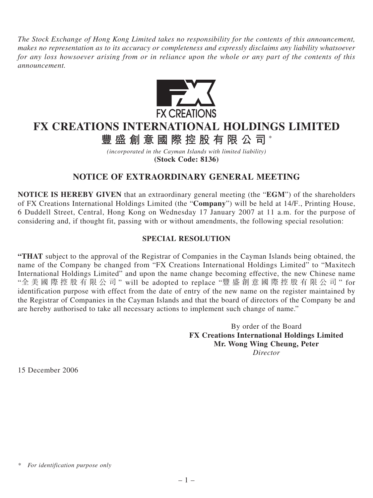*The Stock Exchange of Hong Kong Limited takes no responsibility for the contents of this announcement, makes no representation as to its accuracy or completeness and expressly disclaims any liability whatsoever for any loss howsoever arising from or in reliance upon the whole or any part of the contents of this announcement.*



## **FX CREATIONS INTERNATIONAL HOLDINGS LIMITED**

**豐盛創意國際控股有限公司** \*

*(incorporated in the Cayman Islands with limited liability)* **(Stock Code: 8136)**

## **NOTICE OF EXTRAORDINARY GENERAL MEETING**

**NOTICE IS HEREBY GIVEN** that an extraordinary general meeting (the "**EGM**") of the shareholders of FX Creations International Holdings Limited (the "**Company**") will be held at 14/F., Printing House, 6 Duddell Street, Central, Hong Kong on Wednesday 17 January 2007 at 11 a.m. for the purpose of considering and, if thought fit, passing with or without amendments, the following special resolution:

## **SPECIAL RESOLUTION**

**"THAT** subject to the approval of the Registrar of Companies in the Cayman Islands being obtained, the name of the Company be changed from "FX Creations International Holdings Limited" to "Maxitech International Holdings Limited" and upon the name change becoming effective, the new Chinese name "全美國際控股有限公司 " will be adopted to replace "豐盛創意國際控股有限公司 " for identification purpose with effect from the date of entry of the new name on the register maintained by the Registrar of Companies in the Cayman Islands and that the board of directors of the Company be and are hereby authorised to take all necessary actions to implement such change of name."

> By order of the Board **FX Creations International Holdings Limited Mr. Wong Wing Cheung, Peter** *Director*

15 December 2006

*<sup>\*</sup> For identification purpose only*